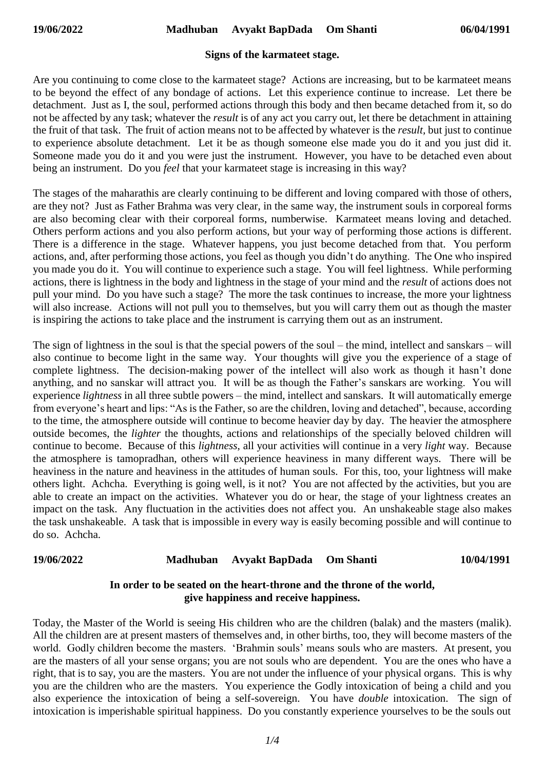### **Signs of the karmateet stage.**

Are you continuing to come close to the karmateet stage? Actions are increasing, but to be karmateet means to be beyond the effect of any bondage of actions. Let this experience continue to increase. Let there be detachment. Just as I, the soul, performed actions through this body and then became detached from it, so do not be affected by any task; whatever the *result* is of any act you carry out, let there be detachment in attaining the fruit of that task. The fruit of action means not to be affected by whatever is the *result,* but just to continue to experience absolute detachment. Let it be as though someone else made you do it and you just did it. Someone made you do it and you were just the instrument. However, you have to be detached even about being an instrument. Do you *feel* that your karmateet stage is increasing in this way?

The stages of the maharathis are clearly continuing to be different and loving compared with those of others, are they not? Just as Father Brahma was very clear, in the same way, the instrument souls in corporeal forms are also becoming clear with their corporeal forms, numberwise. Karmateet means loving and detached. Others perform actions and you also perform actions, but your way of performing those actions is different. There is a difference in the stage. Whatever happens, you just become detached from that. You perform actions, and, after performing those actions, you feel as though you didn't do anything. The One who inspired you made you do it. You will continue to experience such a stage. You will feel lightness. While performing actions, there is lightness in the body and lightness in the stage of your mind and the *result* of actions does not pull your mind. Do you have such a stage? The more the task continues to increase, the more your lightness will also increase. Actions will not pull you to themselves, but you will carry them out as though the master is inspiring the actions to take place and the instrument is carrying them out as an instrument.

The sign of lightness in the soul is that the special powers of the soul – the mind, intellect and sanskars – will also continue to become light in the same way. Your thoughts will give you the experience of a stage of complete lightness. The decision-making power of the intellect will also work as though it hasn't done anything, and no sanskar will attract you. It will be as though the Father's sanskars are working. You will experience *lightness* in all three subtle powers – the mind, intellect and sanskars. It will automatically emerge from everyone's heart and lips: "As is the Father, so are the children, loving and detached", because, according to the time, the atmosphere outside will continue to become heavier day by day. The heavier the atmosphere outside becomes, the *lighter* the thoughts, actions and relationships of the specially beloved children will continue to become. Because of this *lightness*, all your activities will continue in a very *light* way. Because the atmosphere is tamopradhan, others will experience heaviness in many different ways. There will be heaviness in the nature and heaviness in the attitudes of human souls. For this, too, your lightness will make others light. Achcha. Everything is going well, is it not? You are not affected by the activities, but you are able to create an impact on the activities. Whatever you do or hear, the stage of your lightness creates an impact on the task. Any fluctuation in the activities does not affect you. An unshakeable stage also makes the task unshakeable. A task that is impossible in every way is easily becoming possible and will continue to do so. Achcha.

# **19/06/2022 Madhuban Avyakt BapDada Om Shanti 10/04/1991**

## **In order to be seated on the heart-throne and the throne of the world, give happiness and receive happiness.**

Today, the Master of the World is seeing His children who are the children (balak) and the masters (malik). All the children are at present masters of themselves and, in other births, too, they will become masters of the world. Godly children become the masters. 'Brahmin souls' means souls who are masters. At present, you are the masters of all your sense organs; you are not souls who are dependent. You are the ones who have a right, that is to say, you are the masters. You are not under the influence of your physical organs. This is why you are the children who are the masters. You experience the Godly intoxication of being a child and you also experience the intoxication of being a self-sovereign. You have *double* intoxication. The sign of intoxication is imperishable spiritual happiness. Do you constantly experience yourselves to be the souls out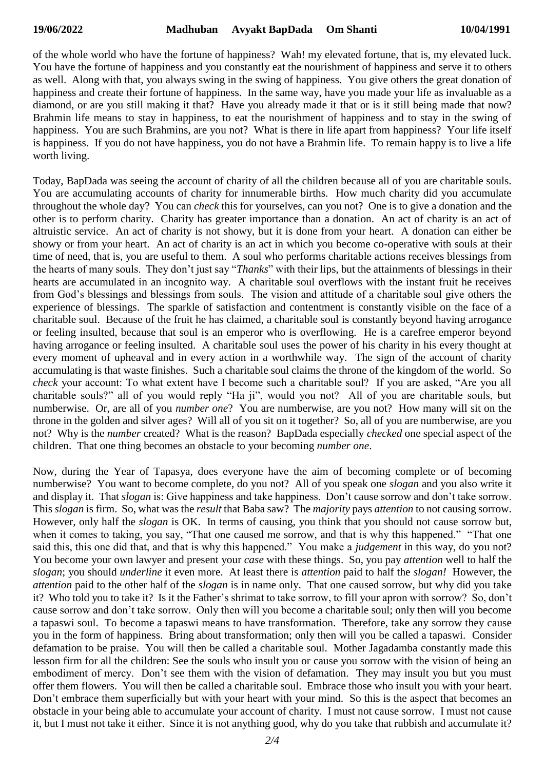of the whole world who have the fortune of happiness? Wah! my elevated fortune, that is, my elevated luck. You have the fortune of happiness and you constantly eat the nourishment of happiness and serve it to others as well. Along with that, you always swing in the swing of happiness. You give others the great donation of happiness and create their fortune of happiness. In the same way, have you made your life as invaluable as a diamond, or are you still making it that? Have you already made it that or is it still being made that now? Brahmin life means to stay in happiness, to eat the nourishment of happiness and to stay in the swing of happiness. You are such Brahmins, are you not? What is there in life apart from happiness? Your life itself is happiness. If you do not have happiness, you do not have a Brahmin life. To remain happy is to live a life worth living.

Today, BapDada was seeing the account of charity of all the children because all of you are charitable souls. You are accumulating accounts of charity for innumerable births. How much charity did you accumulate throughout the whole day? You can *check* this for yourselves, can you not? One is to give a donation and the other is to perform charity. Charity has greater importance than a donation. An act of charity is an act of altruistic service. An act of charity is not showy, but it is done from your heart. A donation can either be showy or from your heart. An act of charity is an act in which you become co-operative with souls at their time of need, that is, you are useful to them. A soul who performs charitable actions receives blessings from the hearts of many souls. They don't just say "*Thanks*" with their lips, but the attainments of blessings in their hearts are accumulated in an incognito way. A charitable soul overflows with the instant fruit he receives from God's blessings and blessings from souls. The vision and attitude of a charitable soul give others the experience of blessings. The sparkle of satisfaction and contentment is constantly visible on the face of a charitable soul. Because of the fruit he has claimed, a charitable soul is constantly beyond having arrogance or feeling insulted, because that soul is an emperor who is overflowing. He is a carefree emperor beyond having arrogance or feeling insulted. A charitable soul uses the power of his charity in his every thought at every moment of upheaval and in every action in a worthwhile way. The sign of the account of charity accumulating is that waste finishes. Such a charitable soul claims the throne of the kingdom of the world. So *check* your account: To what extent have I become such a charitable soul? If you are asked, "Are you all charitable souls?" all of you would reply "Ha ji", would you not? All of you are charitable souls, but numberwise. Or, are all of you *number one*? You are numberwise, are you not? How many will sit on the throne in the golden and silver ages? Will all of you sit on it together? So, all of you are numberwise, are you not? Why is the *number* created? What is the reason? BapDada especially *checked* one special aspect of the children. That one thing becomes an obstacle to your becoming *number one*.

Now, during the Year of Tapasya, does everyone have the aim of becoming complete or of becoming numberwise? You want to become complete, do you not? All of you speak one *slogan* and you also write it and display it. That *slogan* is: Give happiness and take happiness. Don't cause sorrow and don't take sorrow. This *slogan* is firm. So, what was the *result* that Baba saw? The *majority* pays *attention* to not causing sorrow. However, only half the *slogan* is OK. In terms of causing, you think that you should not cause sorrow but, when it comes to taking, you say, "That one caused me sorrow, and that is why this happened." "That one said this, this one did that, and that is why this happened." You make a *judgement* in this way, do you not? You become your own lawyer and present your *case* with these things. So, you pay *attention* well to half the *slogan*; you should *underline* it even more. At least there is *attention* paid to half the *slogan!* However, the *attention* paid to the other half of the *slogan* is in name only. That one caused sorrow, but why did you take it? Who told you to take it? Is it the Father's shrimat to take sorrow, to fill your apron with sorrow? So, don't cause sorrow and don't take sorrow. Only then will you become a charitable soul; only then will you become a tapaswi soul. To become a tapaswi means to have transformation. Therefore, take any sorrow they cause you in the form of happiness. Bring about transformation; only then will you be called a tapaswi. Consider defamation to be praise. You will then be called a charitable soul. Mother Jagadamba constantly made this lesson firm for all the children: See the souls who insult you or cause you sorrow with the vision of being an embodiment of mercy. Don't see them with the vision of defamation. They may insult you but you must offer them flowers. You will then be called a charitable soul. Embrace those who insult you with your heart. Don't embrace them superficially but with your heart with your mind. So this is the aspect that becomes an obstacle in your being able to accumulate your account of charity. I must not cause sorrow. I must not cause it, but I must not take it either. Since it is not anything good, why do you take that rubbish and accumulate it?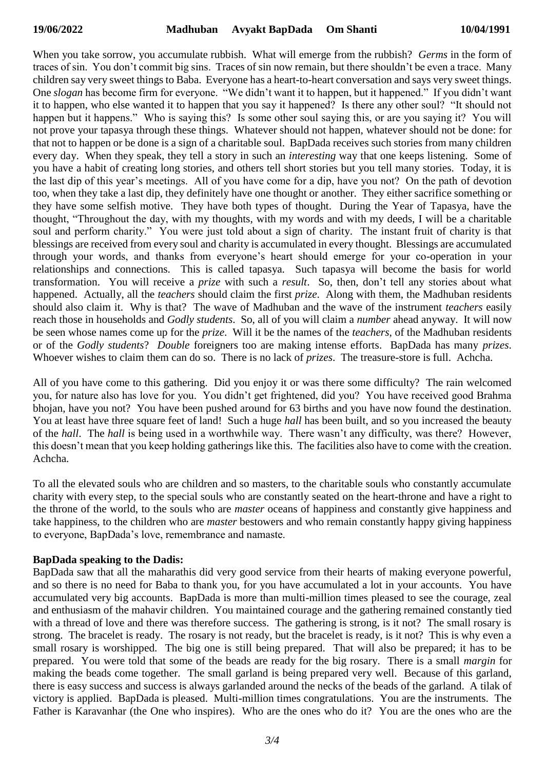When you take sorrow, you accumulate rubbish. What will emerge from the rubbish? *Germs* in the form of traces of sin. You don't commit big sins. Traces of sin now remain, but there shouldn't be even a trace. Many children say very sweet things to Baba. Everyone has a heart-to-heart conversation and says very sweet things. One *slogan* has become firm for everyone. "We didn't want it to happen, but it happened." If you didn't want it to happen, who else wanted it to happen that you say it happened? Is there any other soul? "It should not happen but it happens." Who is saying this? Is some other soul saying this, or are you saying it? You will not prove your tapasya through these things. Whatever should not happen, whatever should not be done: for that not to happen or be done is a sign of a charitable soul. BapDada receives such stories from many children every day. When they speak, they tell a story in such an *interesting* way that one keeps listening. Some of you have a habit of creating long stories, and others tell short stories but you tell many stories. Today, it is the last dip of this year's meetings. All of you have come for a dip, have you not? On the path of devotion too, when they take a last dip, they definitely have one thought or another. They either sacrifice something or they have some selfish motive. They have both types of thought. During the Year of Tapasya, have the thought, "Throughout the day, with my thoughts, with my words and with my deeds, I will be a charitable soul and perform charity." You were just told about a sign of charity. The instant fruit of charity is that blessings are received from every soul and charity is accumulated in every thought. Blessings are accumulated through your words, and thanks from everyone's heart should emerge for your co-operation in your relationships and connections. This is called tapasya. Such tapasya will become the basis for world transformation. You will receive a *prize* with such a *result*. So, then, don't tell any stories about what happened. Actually, all the *teachers* should claim the first *prize*. Along with them, the Madhuban residents should also claim it. Why is that? The wave of Madhuban and the wave of the instrument *teachers* easily reach those in households and *Godly students*. So, all of you will claim a *number* ahead anyway. It will now be seen whose names come up for the *prize*. Will it be the names of the *teachers*, of the Madhuban residents or of the *Godly students*? *Double* foreigners too are making intense efforts. BapDada has many *prizes*. Whoever wishes to claim them can do so. There is no lack of *prizes*. The treasure-store is full. Achcha.

All of you have come to this gathering. Did you enjoy it or was there some difficulty? The rain welcomed you, for nature also has love for you. You didn't get frightened, did you? You have received good Brahma bhojan, have you not? You have been pushed around for 63 births and you have now found the destination. You at least have three square feet of land! Such a huge *hall* has been built, and so you increased the beauty of the *hall*. The *hall* is being used in a worthwhile way. There wasn't any difficulty, was there? However, this doesn't mean that you keep holding gatherings like this. The facilities also have to come with the creation. Achcha.

To all the elevated souls who are children and so masters, to the charitable souls who constantly accumulate charity with every step, to the special souls who are constantly seated on the heart-throne and have a right to the throne of the world, to the souls who are *master* oceans of happiness and constantly give happiness and take happiness, to the children who are *master* bestowers and who remain constantly happy giving happiness to everyone, BapDada's love, remembrance and namaste.

### **BapDada speaking to the Dadis:**

BapDada saw that all the maharathis did very good service from their hearts of making everyone powerful, and so there is no need for Baba to thank you, for you have accumulated a lot in your accounts. You have accumulated very big accounts. BapDada is more than multi-million times pleased to see the courage, zeal and enthusiasm of the mahavir children. You maintained courage and the gathering remained constantly tied with a thread of love and there was therefore success. The gathering is strong, is it not? The small rosary is strong. The bracelet is ready. The rosary is not ready, but the bracelet is ready, is it not? This is why even a small rosary is worshipped. The big one is still being prepared. That will also be prepared; it has to be prepared. You were told that some of the beads are ready for the big rosary. There is a small *margin* for making the beads come together. The small garland is being prepared very well. Because of this garland, there is easy success and success is always garlanded around the necks of the beads of the garland. A tilak of victory is applied. BapDada is pleased. Multi-million times congratulations. You are the instruments. The Father is Karavanhar (the One who inspires). Who are the ones who do it? You are the ones who are the